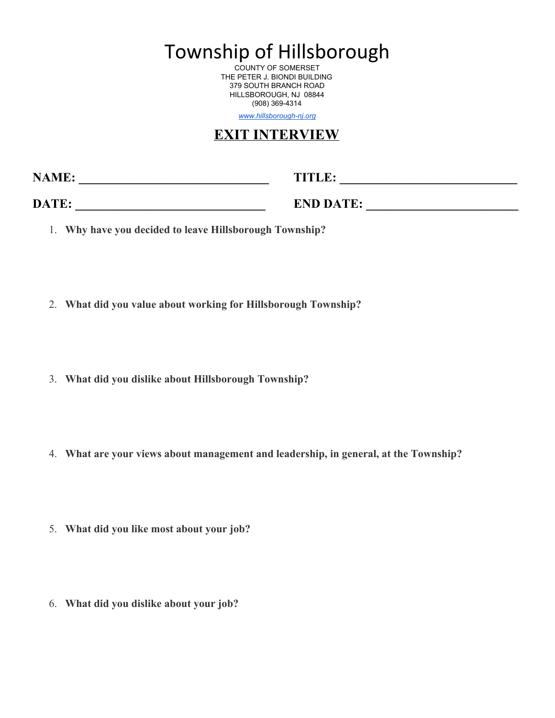Township of Hillsborough

COUNTY OF SOMERSET THE PETER J. BIONDI BUILDING 379 SOUTH BRANCH ROAD HILLSBOROUGH, NJ 08844 (908) 369-4314

www.hillsborough-nj.org

## **EXIT INTERVIEW**

**NAME: \_\_\_\_\_\_\_\_\_\_\_\_\_\_\_\_\_\_\_\_\_\_\_\_\_\_\_\_\_\_ TITLE: \_\_\_\_\_\_\_\_\_\_\_\_\_\_\_\_\_\_\_\_\_\_\_\_\_\_\_\_**

**DATE: END DATE:** 

- 1. **Why have you decided to leave Hillsborough Township?**
- 2. **What did you value about working for Hillsborough Township?**
- 3. **What did you dislike about Hillsborough Township?**
- 4. **What are your views about management and leadership, in general, at the Township?**
- 5. **What did you like most about your job?**
- 6. **What did you dislike about your job?**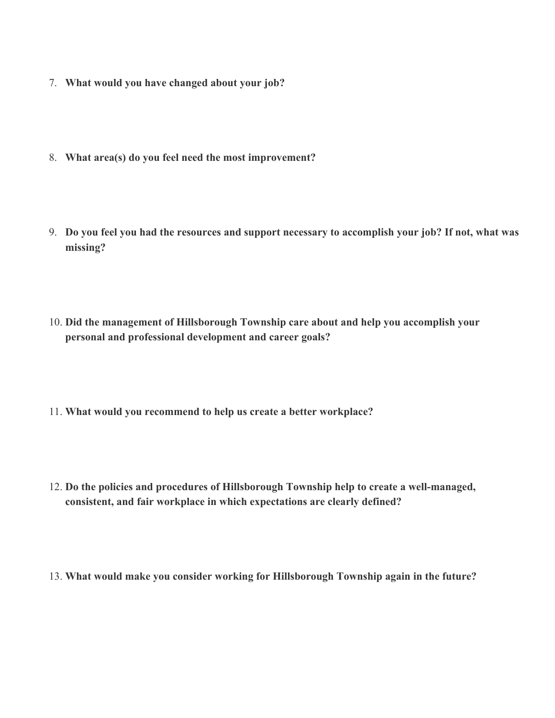- 7. **What would you have changed about your job?**
- 8. **What area(s) do you feel need the most improvement?**
- 9. Do you feel you had the resources and support necessary to accomplish your job? If not, what was **missing?**
- 10. **Did the management of Hillsborough Township care about and help you accomplish your personal and professional development and career goals?**
- 11. **What would you recommend to help us create a better workplace?**
- 12. **Do the policies and procedures of Hillsborough Township help to create a wellmanaged, consistent, and fair workplace in which expectations are clearly defined?**
- 13. **What would make you consider working for Hillsborough Township again in the future?**